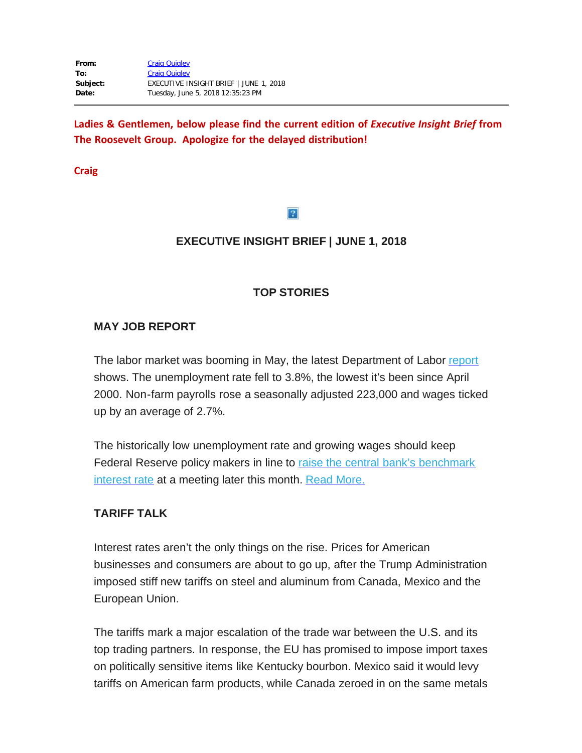**Ladies & Gentlemen, below please find the current edition of** *Executive Insight Brief* **from The Roosevelt Group. Apologize for the delayed distribution!**

**Craig**

#### $|2|$

# **EXECUTIVE INSIGHT BRIEF | JUNE 1, 2018**

### **TOP STORIES**

### **MAY JOB REPORT**

The labor market was booming in May, the latest Department of Labor [report](https://rooseveltdc.us12.list-manage.com/track/click?u=322456b7b4ad08c1b4904c407&id=d1a23f474b&e=5c6d0a3b33) shows. The unemployment rate fell to 3.8%, the lowest it's been since April 2000. Non-farm payrolls rose a seasonally adjusted 223,000 and wages ticked up by an average of 2.7%.

The historically low unemployment rate and growing wages should keep Federal Reserve policy makers in line to raise the central bank's [benchmark](https://rooseveltdc.us12.list-manage.com/track/click?u=322456b7b4ad08c1b4904c407&id=8cee2e9d1d&e=5c6d0a3b33) [interest](https://rooseveltdc.us12.list-manage.com/track/click?u=322456b7b4ad08c1b4904c407&id=8cee2e9d1d&e=5c6d0a3b33) rate at a meeting later this month. Read [More.](https://rooseveltdc.us12.list-manage.com/track/click?u=322456b7b4ad08c1b4904c407&id=42e36ac713&e=5c6d0a3b33)

### **TARIFF TALK**

Interest rates aren't the only things on the rise. Prices for American businesses and consumers are about to go up, after the Trump Administration imposed stiff new tariffs on steel and aluminum from Canada, Mexico and the European Union.

The tariffs mark a major escalation of the trade war between the U.S. and its top trading partners. In response, the EU has promised to impose import taxes on politically sensitive items like Kentucky bourbon. Mexico said it would levy tariffs on American farm products, while Canada zeroed in on the same metals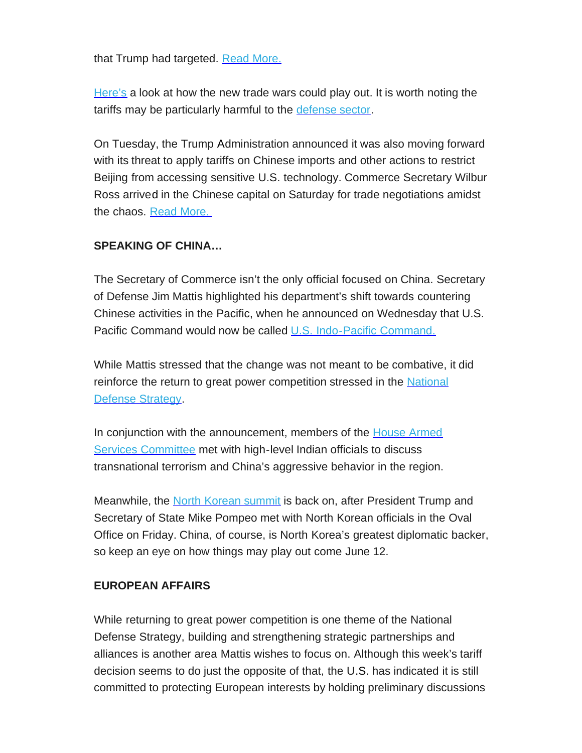that Trump had targeted. Read [More.](https://rooseveltdc.us12.list-manage.com/track/click?u=322456b7b4ad08c1b4904c407&id=8a4d17a1cd&e=5c6d0a3b33)

[Here's](https://rooseveltdc.us12.list-manage.com/track/click?u=322456b7b4ad08c1b4904c407&id=4f1bad75ad&e=5c6d0a3b33) a look at how the new trade wars could play out. It is worth noting the tariffs may be particularly harmful to the [defense](https://rooseveltdc.us12.list-manage.com/track/click?u=322456b7b4ad08c1b4904c407&id=198fac65f2&e=5c6d0a3b33) sector.

On Tuesday, the Trump Administration announced it was also moving forward with its threat to apply tariffs on Chinese imports and other actions to restrict Beijing from accessing sensitive U.S. technology. Commerce Secretary Wilbur Ross arrived in the Chinese capital on Saturday for trade negotiations amidst the chaos. Read [More.](https://rooseveltdc.us12.list-manage.com/track/click?u=322456b7b4ad08c1b4904c407&id=ce8797bff5&e=5c6d0a3b33)

### **SPEAKING OF CHINA…**

The Secretary of Commerce isn't the only official focused on China. Secretary of Defense Jim Mattis highlighted his department's shift towards countering Chinese activities in the Pacific, when he announced on Wednesday that U.S. Pacific Command would now be called U.S. [Indo-Pacific](https://rooseveltdc.us12.list-manage.com/track/click?u=322456b7b4ad08c1b4904c407&id=a36a3f6e76&e=5c6d0a3b33) Command.

While Mattis stressed that the change was not meant to be combative, it did reinforce the return to great power competition stressed in the [National](https://rooseveltdc.us12.list-manage.com/track/click?u=322456b7b4ad08c1b4904c407&id=8d135ac8d0&e=5c6d0a3b33) Defense [Strategy](https://rooseveltdc.us12.list-manage.com/track/click?u=322456b7b4ad08c1b4904c407&id=8d135ac8d0&e=5c6d0a3b33).

In conjunction with the announcement, members of the **House [Armed](https://rooseveltdc.us12.list-manage.com/track/click?u=322456b7b4ad08c1b4904c407&id=f893384db5&e=5c6d0a3b33)** Services [Committee](https://rooseveltdc.us12.list-manage.com/track/click?u=322456b7b4ad08c1b4904c407&id=f893384db5&e=5c6d0a3b33) met with high-level Indian officials to discuss transnational terrorism and China's aggressive behavior in the region.

Meanwhile, the North [Korean](https://rooseveltdc.us12.list-manage.com/track/click?u=322456b7b4ad08c1b4904c407&id=1111aa1abc&e=5c6d0a3b33) summit is back on, after President Trump and Secretary of State Mike Pompeo met with North Korean officials in the Oval Office on Friday. China, of course, is North Korea's greatest diplomatic backer, so keep an eye on how things may play out come June 12.

### **EUROPEAN AFFAIRS**

While returning to great power competition is one theme of the National Defense Strategy, building and strengthening strategic partnerships and alliances is another area Mattis wishes to focus on. Although this week's tariff decision seems to do just the opposite of that, the U.S. has indicated it is still committed to protecting European interests by holding preliminary discussions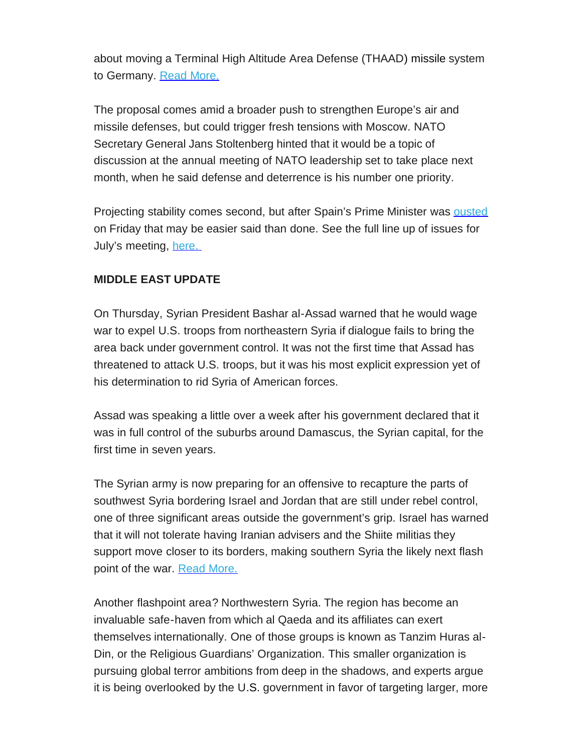about moving a Terminal High Altitude Area Defense (THAAD) missile system to Germany. Read [More.](https://rooseveltdc.us12.list-manage.com/track/click?u=322456b7b4ad08c1b4904c407&id=f195f462e9&e=5c6d0a3b33)

The proposal comes amid a broader push to strengthen Europe's air and missile defenses, but could trigger fresh tensions with Moscow. NATO Secretary General Jans Stoltenberg hinted that it would be a topic of discussion at the annual meeting of NATO leadership set to take place next month, when he said defense and deterrence is his number one priority.

Projecting stability comes second, but after Spain's Prime Minister was [ousted](https://rooseveltdc.us12.list-manage.com/track/click?u=322456b7b4ad08c1b4904c407&id=573edfac14&e=5c6d0a3b33) on Friday that may be easier said than done. See the full line up of issues for July's meeting, [here.](https://rooseveltdc.us12.list-manage.com/track/click?u=322456b7b4ad08c1b4904c407&id=2247b35edd&e=5c6d0a3b33)

# **MIDDLE EAST UPDATE**

On Thursday, Syrian President Bashar al-Assad warned that he would wage war to expel U.S. troops from northeastern Syria if dialogue fails to bring the area back under government control. It was not the first time that Assad has threatened to attack U.S. troops, but it was his most explicit expression yet of his determination to rid Syria of American forces.

Assad was speaking a little over a week after his government declared that it was in full control of the suburbs around Damascus, the Syrian capital, for the first time in seven years.

The Syrian army is now preparing for an offensive to recapture the parts of southwest Syria bordering Israel and Jordan that are still under rebel control, one of three significant areas outside the government's grip. Israel has warned that it will not tolerate having Iranian advisers and the Shiite militias they support move closer to its borders, making southern Syria the likely next flash point of the war. Read [More.](https://rooseveltdc.us12.list-manage.com/track/click?u=322456b7b4ad08c1b4904c407&id=e8d02b8b0e&e=5c6d0a3b33)

Another flashpoint area? Northwestern Syria. The region has become an invaluable safe-haven from which al Qaeda and its affiliates can exert themselves internationally. One of those groups is known as Tanzim Huras al-Din, or the Religious Guardians' Organization. This smaller organization is pursuing global terror ambitions from deep in the shadows, and experts argue it is being overlooked by the U.S. government in favor of targeting larger, more